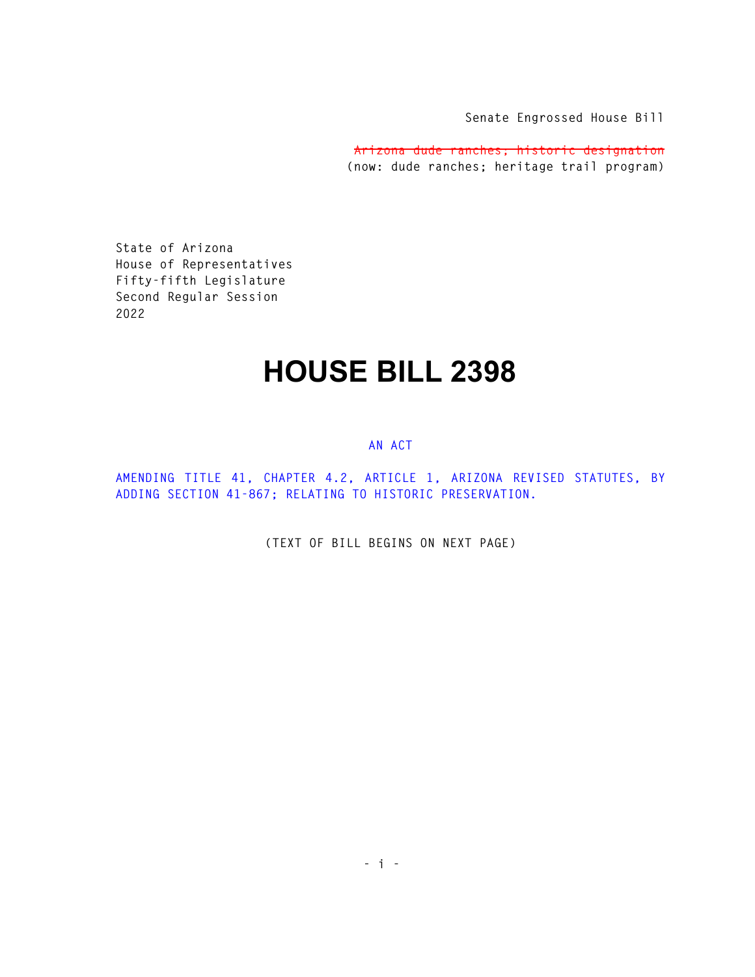**Senate Engrossed House Bill** 

**Arizona dude ranches; historic designation (now: dude ranches; heritage trail program)** 

**State of Arizona House of Representatives Fifty-fifth Legislature Second Regular Session 2022** 

## **HOUSE BILL 2398**

## **AN ACT**

**AMENDING TITLE 41, CHAPTER 4.2, ARTICLE 1, ARIZONA REVISED STATUTES, BY ADDING SECTION 41-867; RELATING TO HISTORIC PRESERVATION.** 

**(TEXT OF BILL BEGINS ON NEXT PAGE)**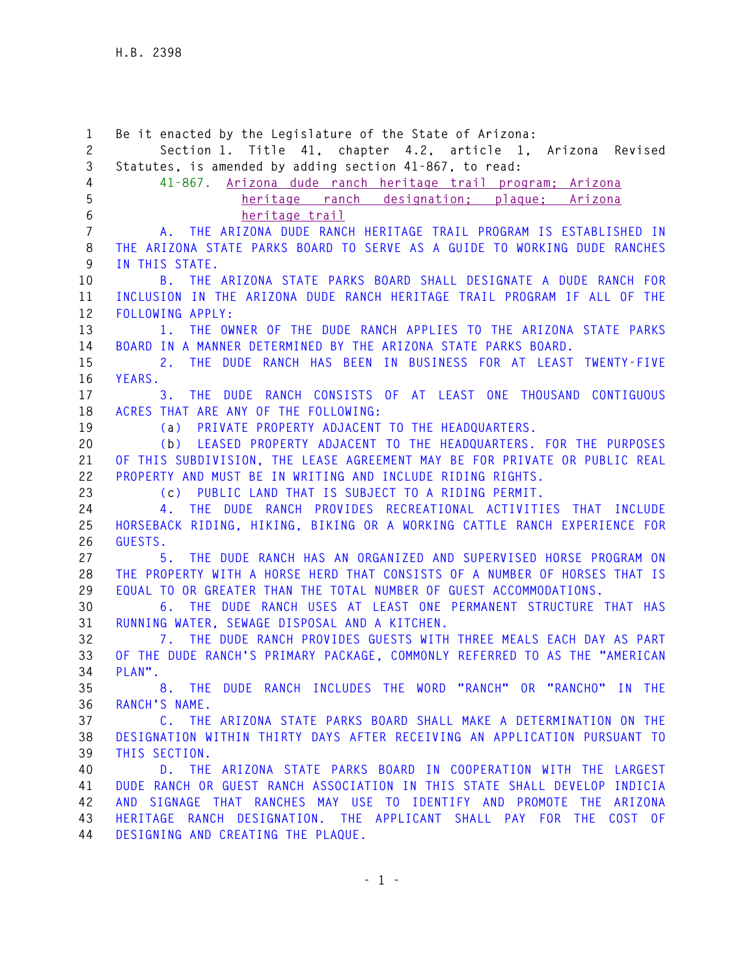**1 Be it enacted by the Legislature of the State of Arizona: 2 Section 1. Title 41, chapter 4.2, article 1, Arizona Revised 3 Statutes, is amended by adding section 41-867, to read: 4 41-867. Arizona dude ranch heritage trail program; Arizona 5 heritage ranch designation; plaque; Arizona 6 heritage trail 7 A. THE ARIZONA DUDE RANCH HERITAGE TRAIL PROGRAM IS ESTABLISHED IN 8 THE ARIZONA STATE PARKS BOARD TO SERVE AS A GUIDE TO WORKING DUDE RANCHES 9 IN THIS STATE. 10 B. THE ARIZONA STATE PARKS BOARD SHALL DESIGNATE A DUDE RANCH FOR 11 INCLUSION IN THE ARIZONA DUDE RANCH HERITAGE TRAIL PROGRAM IF ALL OF THE 12 FOLLOWING APPLY: 13 1. THE OWNER OF THE DUDE RANCH APPLIES TO THE ARIZONA STATE PARKS 14 BOARD IN A MANNER DETERMINED BY THE ARIZONA STATE PARKS BOARD. 15 2. THE DUDE RANCH HAS BEEN IN BUSINESS FOR AT LEAST TWENTY-FIVE 16 YEARS. 17 3. THE DUDE RANCH CONSISTS OF AT LEAST ONE THOUSAND CONTIGUOUS 18 ACRES THAT ARE ANY OF THE FOLLOWING: 19 (a) PRIVATE PROPERTY ADJACENT TO THE HEADQUARTERS. 20 (b) LEASED PROPERTY ADJACENT TO THE HEADQUARTERS. FOR THE PURPOSES 21 OF THIS SUBDIVISION, THE LEASE AGREEMENT MAY BE FOR PRIVATE OR PUBLIC REAL 22 PROPERTY AND MUST BE IN WRITING AND INCLUDE RIDING RIGHTS. 23 (c) PUBLIC LAND THAT IS SUBJECT TO A RIDING PERMIT. 24 4. THE DUDE RANCH PROVIDES RECREATIONAL ACTIVITIES THAT INCLUDE 25 HORSEBACK RIDING, HIKING, BIKING OR A WORKING CATTLE RANCH EXPERIENCE FOR 26 GUESTS. 27 5. THE DUDE RANCH HAS AN ORGANIZED AND SUPERVISED HORSE PROGRAM ON 28 THE PROPERTY WITH A HORSE HERD THAT CONSISTS OF A NUMBER OF HORSES THAT IS 29 EQUAL TO OR GREATER THAN THE TOTAL NUMBER OF GUEST ACCOMMODATIONS. 30 6. THE DUDE RANCH USES AT LEAST ONE PERMANENT STRUCTURE THAT HAS 31 RUNNING WATER, SEWAGE DISPOSAL AND A KITCHEN. 32 7. THE DUDE RANCH PROVIDES GUESTS WITH THREE MEALS EACH DAY AS PART 33 OF THE DUDE RANCH'S PRIMARY PACKAGE, COMMONLY REFERRED TO AS THE "AMERICAN 34 PLAN". 35 8. THE DUDE RANCH INCLUDES THE WORD "RANCH" OR "RANCHO" IN THE 36 RANCH'S NAME. 37 C. THE ARIZONA STATE PARKS BOARD SHALL MAKE A DETERMINATION ON THE 38 DESIGNATION WITHIN THIRTY DAYS AFTER RECEIVING AN APPLICATION PURSUANT TO 39 THIS SECTION. 40 D. THE ARIZONA STATE PARKS BOARD IN COOPERATION WITH THE LARGEST 41 DUDE RANCH OR GUEST RANCH ASSOCIATION IN THIS STATE SHALL DEVELOP INDICIA 42 AND SIGNAGE THAT RANCHES MAY USE TO IDENTIFY AND PROMOTE THE ARIZONA 43 HERITAGE RANCH DESIGNATION. THE APPLICANT SHALL PAY FOR THE COST OF 44 DESIGNING AND CREATING THE PLAQUE.**